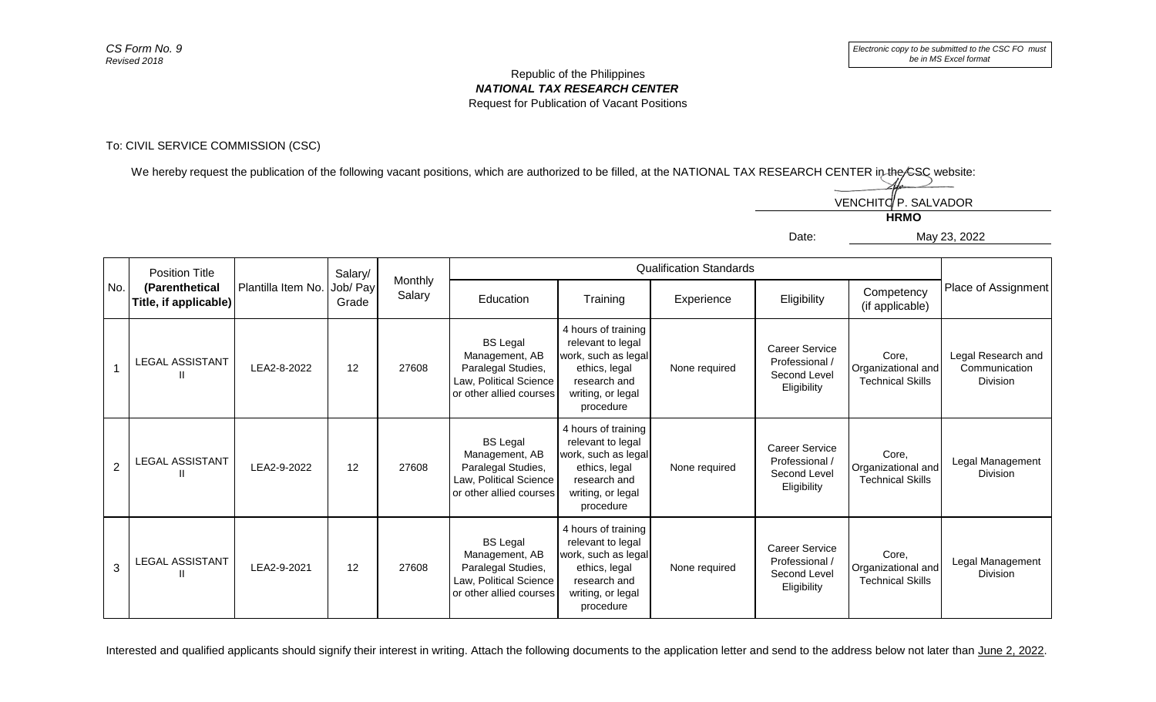## Republic of the Philippines *NATIONAL TAX RESEARCH CENTER* Request for Publication of Vacant Positions

## To: CIVIL SERVICE COMMISSION (CSC)

We hereby request the publication of the following vacant positions, which are authorized to be filled, at the NATIONAL TAX RESEARCH CENTER in the CSC website:



Education Training Experience Eligibility Competency (if applicable) 1 LEGAL ASSISTANT  $\begin{array}{|c|c|c|c|c|c|c|c|}\n\hline\nII & \hline\nII & \hline\nII & \hline\n\end{array}$  LEA2-8-2022 12 12 27608 **BS** Legal Management, AB Paralegal Studies, Law, Political Science or other allied courses 4 hours of training relevant to legal work, such as legal ethics, legal research and writing, or legal procedure None required Career Service Professional / Second Level **Eligibility** Core, Organizational and Technical Skills Legal Research and **Communication** Division 2 LEGAL ASSISTANT II LEA2-9-2022 <sup>12</sup> <sup>27608</sup> BS Legal Management, AB Paralegal Studies, Law, Political Science or other allied courses 4 hours of training relevant to legal work, such as legal ethics, legal research and writing, or legal procedure None required Career Service Professional / Second Level **Eligibility** Core, Organizational and Technical Skills Legal Management Division 3 LEGAL ASSISTANT  $\begin{array}{|c|c|c|c|c|c|c|c|}\n\hline\n\text{II} & \text{I2} & \text{27608} \\
\hline\n\end{array}$ BS Legal Management, AB Paralegal Studies, Law, Political Science or other allied courses 4 hours of training relevant to legal work, such as legal ethics, legal research and writing, or legal procedure None required Career Service Professional / Second Level **Eligibility** Core, Organizational and Technical Skills Legal Management Division No. Position Title **(Parenthetical Title, if applicable)** Plantilla Item No. Salary/ Job/ Pay Grade Monthly worlding<br>Salary Place of Assignment<br>Salary Place of Assignment Qualification Standards

Interested and qualified applicants should signify their interest in writing. Attach the following documents to the application letter and send to the address below not later than June 2, 2022.